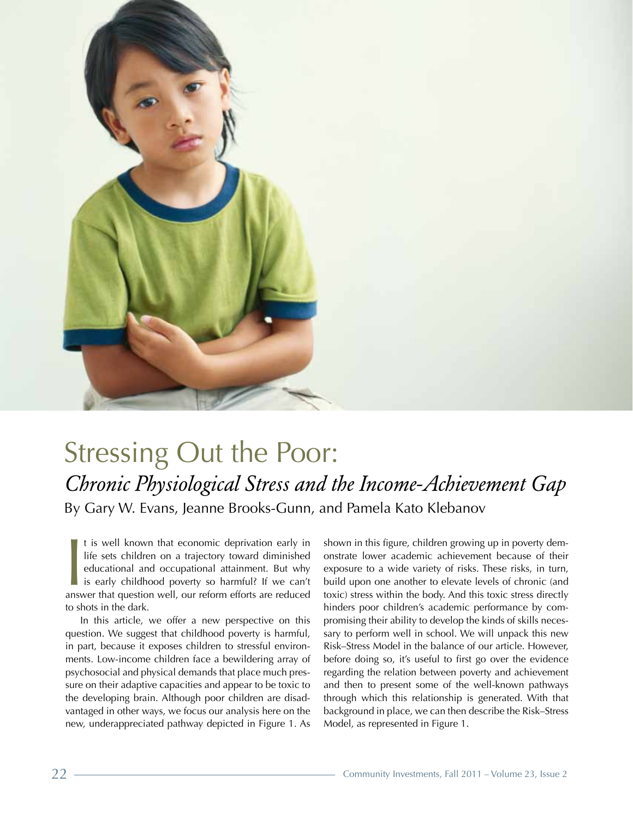

# Stressing Out the Poor: *Chronic Physiological Stress and the Income-Achievement Gap* By Gary W. Evans, Jeanne Brooks-Gunn, and Pamela Kato Klebanov

It is well known that economic deprivation early in life sets children on a trajectory toward diminished educational and occupational attainment. But why is early childhood poverty so harmful? If we can't answer that quest t is well known that economic deprivation early in life sets children on a trajectory toward diminished educational and occupational attainment. But why is early childhood poverty so harmful? If we can't to shots in the dark.

In this article, we offer a new perspective on this question. We suggest that childhood poverty is harmful, in part, because it exposes children to stressful environments. Low-income children face a bewildering array of psychosocial and physical demands that place much pressure on their adaptive capacities and appear to be toxic to the developing brain. Although poor children are disadvantaged in other ways, we focus our analysis here on the new, underappreciated pathway depicted in Figure 1. As

shown in this figure, children growing up in poverty demonstrate lower academic achievement because of their exposure to a wide variety of risks. These risks, in turn, build upon one another to elevate levels of chronic (and toxic) stress within the body. And this toxic stress directly hinders poor children's academic performance by compromising their ability to develop the kinds of skills necessary to perform well in school. We will unpack this new Risk–Stress Model in the balance of our article. However, before doing so, it's useful to first go over the evidence regarding the relation between poverty and achievement and then to present some of the well-known pathways through which this relationship is generated. With that background in place, we can then describe the Risk–Stress Model, as represented in Figure 1.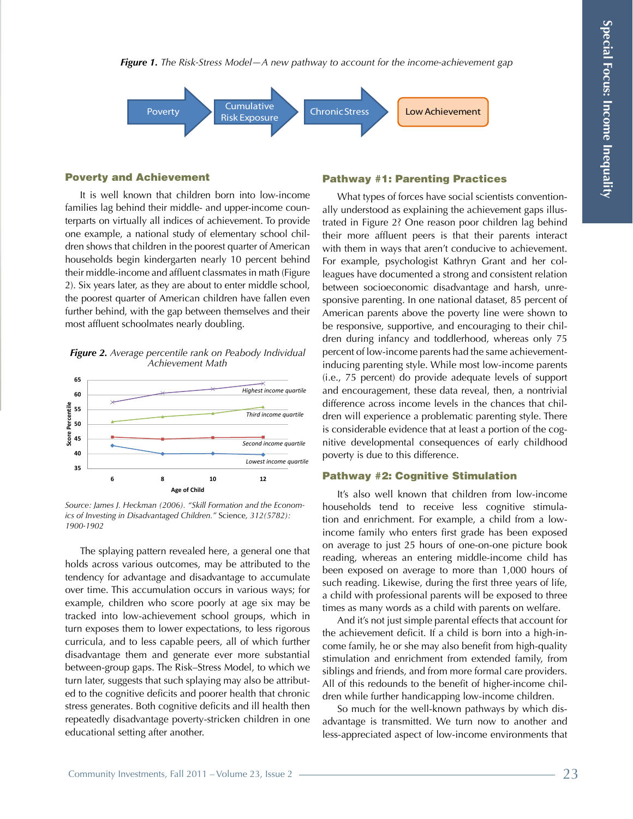**Figure 1.** The Risk-Stress Model—A new pathway to account for the income-achievement gap



#### Poverty and Achievement

It is well known that children born into low-income families lag behind their middle- and upper-income counterparts on virtually all indices of achievement. To provide one example, a national study of elementary school children shows that children in the poorest quarter of American households begin kindergarten nearly 10 percent behind their middle-income and affluent classmates in math (Figure 2). Six years later, as they are about to enter middle school, the poorest quarter of American children have fallen even further behind, with the gap between themselves and their most affluent schoolmates nearly doubling.

*Figure 2. Average percentile rank on Peabody Individual Achievement Math* **Figure 2 ‐ Average percentile rank on Peabody Individual Achievement Math**



Source: James J. Heckman (2006). "Skill Formation and the Econom*ics of Investing in Disadvantaged Children."* Science*, 312(5782): 1900-1902*

The splaying pattern revealed here, a general one that holds across various outcomes, may be attributed to the tendency for advantage and disadvantage to accumulate over time. This accumulation occurs in various ways; for example, children who score poorly at age six may be tracked into low-achievement school groups, which in turn exposes them to lower expectations, to less rigorous curricula, and to less capable peers, all of which further disadvantage them and generate ever more substantial between-group gaps. The Risk–Stress Model, to which we turn later, suggests that such splaying may also be attributed to the cognitive deficits and poorer health that chronic stress generates. Both cognitive deficits and ill health then repeatedly disadvantage poverty-stricken children in one educational setting after another.

#### Pathway #1: Parenting Practices

What types of forces have social scientists conventionally understood as explaining the achievement gaps illustrated in Figure 2? One reason poor children lag behind their more affluent peers is that their parents interact with them in ways that aren't conducive to achievement. For example, psychologist Kathryn Grant and her colleagues have documented a strong and consistent relation between socioeconomic disadvantage and harsh, unresponsive parenting. In one national dataset, 85 percent of American parents above the poverty line were shown to be responsive, supportive, and encouraging to their children during infancy and toddlerhood, whereas only 75 percent of low-income parents had the same achievementinducing parenting style. While most low-income parents (i.e., 75 percent) do provide adequate levels of support and encouragement, these data reveal, then, a nontrivial difference across income levels in the chances that children will experience a problematic parenting style. There is considerable evidence that at least a portion of the cognitive developmental consequences of early childhood poverty is due to this difference.

#### Pathway #2: Cognitive Stimulation

It's also well known that children from low-income households tend to receive less cognitive stimulation and enrichment. For example, a child from a lowincome family who enters first grade has been exposed on average to just 25 hours of one-on-one picture book reading, whereas an entering middle-income child has been exposed on average to more than 1,000 hours of such reading. Likewise, during the first three years of life, a child with professional parents will be exposed to three times as many words as a child with parents on welfare.

And it's not just simple parental effects that account for the achievement deficit. If a child is born into a high-income family, he or she may also benefit from high-quality stimulation and enrichment from extended family, from siblings and friends, and from more formal care providers. All of this redounds to the benefit of higher-income children while further handicapping low-income children.

So much for the well-known pathways by which disadvantage is transmitted. We turn now to another and less-appreciated aspect of low-income environments that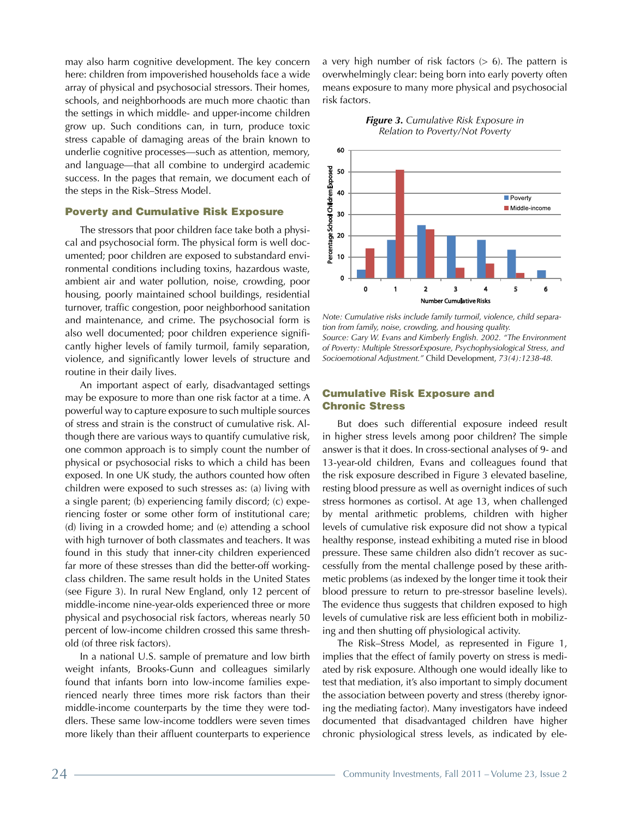may also harm cognitive development. The key concern here: children from impoverished households face a wide array of physical and psychosocial stressors. Their homes, schools, and neighborhoods are much more chaotic than the settings in which middle- and upper-income children grow up. Such conditions can, in turn, produce toxic stress capable of damaging areas of the brain known to underlie cognitive processes—such as attention, memory, and language—that all combine to undergird academic success. In the pages that remain, we document each of the steps in the Risk–Stress Model.

## Poverty and Cumulative Risk Exposure

The stressors that poor children face take both a physical and psychosocial form. The physical form is well documented; poor children are exposed to substandard environmental conditions including toxins, hazardous waste, ambient air and water pollution, noise, crowding, poor housing, poorly maintained school buildings, residential turnover, traffic congestion, poor neighborhood sanitation and maintenance, and crime. The psychosocial form is also well documented; poor children experience significantly higher levels of family turmoil, family separation, violence, and significantly lower levels of structure and routine in their daily lives.

An important aspect of early, disadvantaged settings may be exposure to more than one risk factor at a time. A powerful way to capture exposure to such multiple sources of stress and strain is the construct of cumulative risk. Although there are various ways to quantify cumulative risk, one common approach is to simply count the number of physical or psychosocial risks to which a child has been exposed. In one UK study, the authors counted how often children were exposed to such stresses as: (a) living with a single parent; (b) experiencing family discord; (c) experiencing foster or some other form of institutional care; (d) living in a crowded home; and (e) attending a school with high turnover of both classmates and teachers. It was found in this study that inner-city children experienced far more of these stresses than did the better-off workingclass children. The same result holds in the United States (see Figure 3). In rural New England, only 12 percent of middle-income nine-year-olds experienced three or more physical and psychosocial risk factors, whereas nearly 50 percent of low-income children crossed this same threshold (of three risk factors).

In a national U.S. sample of premature and low birth weight infants, Brooks-Gunn and colleagues similarly found that infants born into low-income families experienced nearly three times more risk factors than their middle-income counterparts by the time they were toddlers. These same low-income toddlers were seven times more likely than their affluent counterparts to experience a very high number of risk factors  $(> 6)$ . The pattern is overwhelmingly clear: being born into early poverty often means exposure to many more physical and psychosocial risk factors.

*Figure 3. Cumulative Risk Exposure in Relation to Poverty/Not Poverty*



*Note: Cumulative risks include family turmoil, violence, child separa-*匀漀甀爀挀攀㨀 䜀愀爀礀 圀⸀ 䔀瘀愀渀猀 愀渀搀 䬀椀洀戀攀爀氀礀 䔀渀最氀椀猀栀⸀ ㈀ ㈀⸀ ᰠ吀栀攀 䔀渀瘀椀爀漀渀洀攀渀琀 漀昀 倀漀瘀攀爀琀礀㨀 䴀甀氀琀椀瀀氀攀 匀琀爀攀猀猀漀爀 *tion from family, noise, crowding, and housing quality.* 䔀砀瀀漀猀甀爀攀Ⰰ 倀猀礀挀栀漀瀀栀礀猀椀漀氀漀最椀挀愀氀 匀琀爀攀猀猀Ⰰ 愀渀搀 匀漀挀椀漀攀洀漀琀椀漀渀愀氀 䄀搀樀甀猀琀洀攀渀琀⸀ᴠ 䌀栀椀氀搀 䐀攀瘀攀氀漀瀀洀攀渀琀Ⰰ 㜀㌀⠀㐀⤀㨀㈀㌀㠀ⴀ㐀㠀⸀ *Source: Gary W. Evans and Kimberly English. 2002. "The Environment of Poverty: Multiple StressorExposure, Psychophysiological Stress, and Socioemotional Adjustment."* Child Development, *73(4):1238-48.*

## Cumulative Risk Exposure and Chronic Stress

But does such differential exposure indeed result in higher stress levels among poor children? The simple answer is that it does. In cross-sectional analyses of 9- and 13-year-old children, Evans and colleagues found that the risk exposure described in Figure 3 elevated baseline, resting blood pressure as well as overnight indices of such stress hormones as cortisol. At age 13, when challenged by mental arithmetic problems, children with higher levels of cumulative risk exposure did not show a typical healthy response, instead exhibiting a muted rise in blood pressure. These same children also didn't recover as successfully from the mental challenge posed by these arithmetic problems (as indexed by the longer time it took their blood pressure to return to pre-stressor baseline levels). The evidence thus suggests that children exposed to high levels of cumulative risk are less efficient both in mobilizing and then shutting off physiological activity.

The Risk–Stress Model, as represented in Figure 1, implies that the effect of family poverty on stress is mediated by risk exposure. Although one would ideally like to test that mediation, it's also important to simply document the association between poverty and stress (thereby ignoring the mediating factor). Many investigators have indeed documented that disadvantaged children have higher chronic physiological stress levels, as indicated by ele-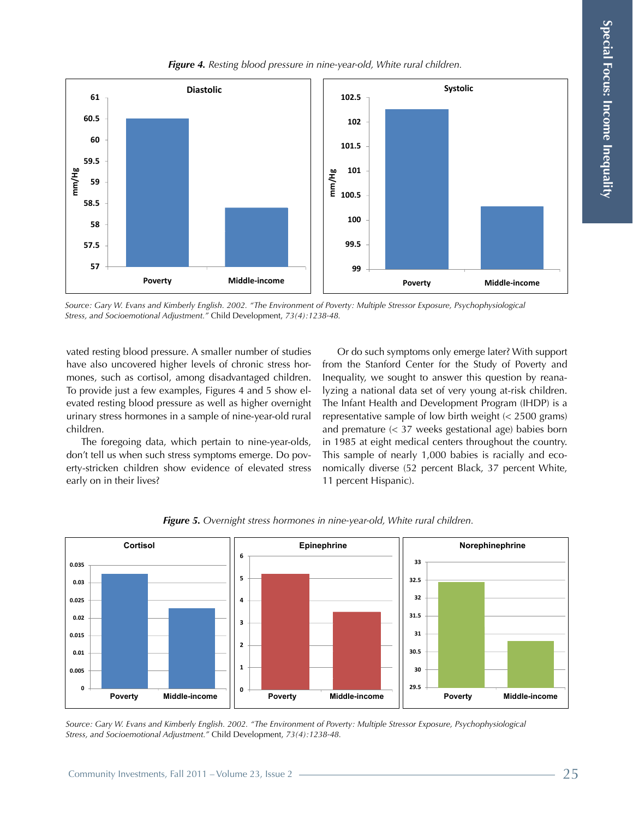



*Source: Gary W. Evans and Kimberly English. 2002. "The Environment of Poverty: Multiple Stressor Exposure, Psychophysiological Stress, and Socioemotional Adjustment."* Child Development, *73(4):1238-48.*

vated resting blood pressure. A smaller number of studies have also uncovered higher levels of chronic stress hormones, such as cortisol, among disadvantaged children. To provide just a few examples, Figures 4 and 5 show elevated resting blood pressure as well as higher overnight urinary stress hormones in a sample of nine-year-old rural children.

The foregoing data, which pertain to nine-year-olds, don't tell us when such stress symptoms emerge. Do poverty-stricken children show evidence of elevated stress early on in their lives?

Or do such symptoms only emerge later? With support from the Stanford Center for the Study of Poverty and Inequality, we sought to answer this question by reanalyzing a national data set of very young at-risk children. The Infant Health and Development Program (IHDP) is a representative sample of low birth weight (< 2500 grams) and premature (< 37 weeks gestational age) babies born in 1985 at eight medical centers throughout the country. This sample of nearly 1,000 babies is racially and economically diverse (52 percent Black, 37 percent White, 11 percent Hispanic).



*Figure 5. Overnight stress hormones in nine-year-old, White rural children.*

*Source: Gary W. Evans and Kimberly English. 2002. "The Environment of Poverty: Multiple Stressor Exposure, Psychophysiological Stress, and Socioemotional Adjustment."* Child Development, *73(4):1238-48.*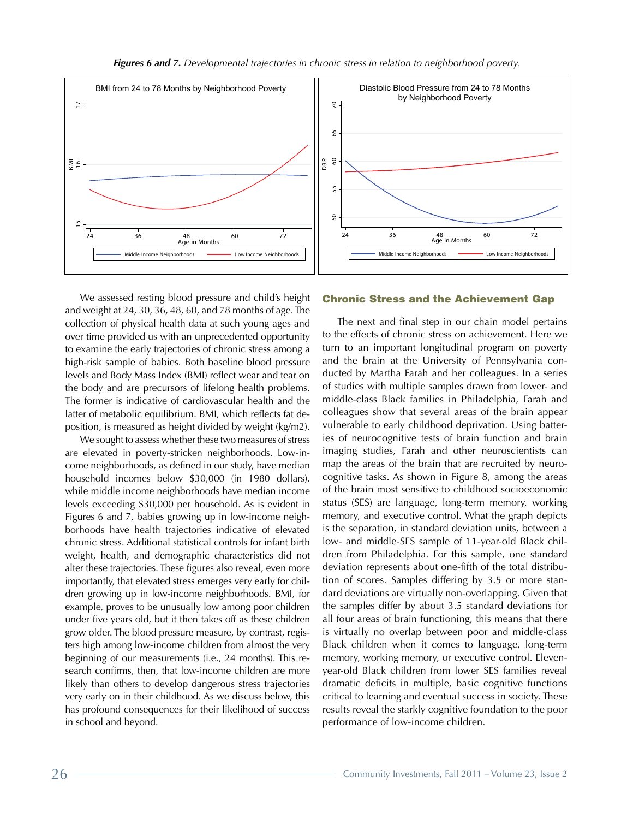

*Figures 6 and 7. Developmental trajectories in chronic stress in relation to neighborhood poverty.*

We assessed resting blood pressure and child's height and weight at 24, 30, 36, 48, 60, and 78 months of age. The collection of physical health data at such young ages and over time provided us with an unprecedented opportunity to examine the early trajectories of chronic stress among a high-risk sample of babies. Both baseline blood pressure levels and Body Mass Index (BMI) reflect wear and tear on the body and are precursors of lifelong health problems. The former is indicative of cardiovascular health and the latter of metabolic equilibrium. BMI, which reflects fat deposition, is measured as height divided by weight (kg/m2).

We sought to assess whether these two measures of stress are elevated in poverty-stricken neighborhoods. Low-income neighborhoods, as defined in our study, have median household incomes below \$30,000 (in 1980 dollars), while middle income neighborhoods have median income levels exceeding \$30,000 per household. As is evident in Figures 6 and 7, babies growing up in low-income neighborhoods have health trajectories indicative of elevated chronic stress. Additional statistical controls for infant birth weight, health, and demographic characteristics did not alter these trajectories. These figures also reveal, even more importantly, that elevated stress emerges very early for children growing up in low-income neighborhoods. BMI, for example, proves to be unusually low among poor children under five years old, but it then takes off as these children grow older. The blood pressure measure, by contrast, registers high among low-income children from almost the very beginning of our measurements (i.e., 24 months). This research confirms, then, that low-income children are more likely than others to develop dangerous stress trajectories very early on in their childhood. As we discuss below, this has profound consequences for their likelihood of success in school and beyond.

## Chronic Stress and the Achievement Gap

The next and final step in our chain model pertains to the effects of chronic stress on achievement. Here we turn to an important longitudinal program on poverty and the brain at the University of Pennsylvania conducted by Martha Farah and her colleagues. In a series of studies with multiple samples drawn from lower- and middle-class Black families in Philadelphia, Farah and colleagues show that several areas of the brain appear vulnerable to early childhood deprivation. Using batteries of neurocognitive tests of brain function and brain imaging studies, Farah and other neuroscientists can map the areas of the brain that are recruited by neurocognitive tasks. As shown in Figure 8, among the areas of the brain most sensitive to childhood socioeconomic status (SES) are language, long-term memory, working memory, and executive control. What the graph depicts is the separation, in standard deviation units, between a low- and middle-SES sample of 11-year-old Black children from Philadelphia. For this sample, one standard deviation represents about one-fifth of the total distribution of scores. Samples differing by 3.5 or more standard deviations are virtually non-overlapping. Given that the samples differ by about 3.5 standard deviations for all four areas of brain functioning, this means that there is virtually no overlap between poor and middle-class Black children when it comes to language, long-term memory, working memory, or executive control. Elevenyear-old Black children from lower SES families reveal dramatic deficits in multiple, basic cognitive functions critical to learning and eventual success in society. These results reveal the starkly cognitive foundation to the poor **Example 12 56**<br> **Example Recent Registration** of the **Achief Albertan Carrying Carryin and the Defined and the Defined and the Defined and the brain at the University of Function and the brain at the University of Functi**